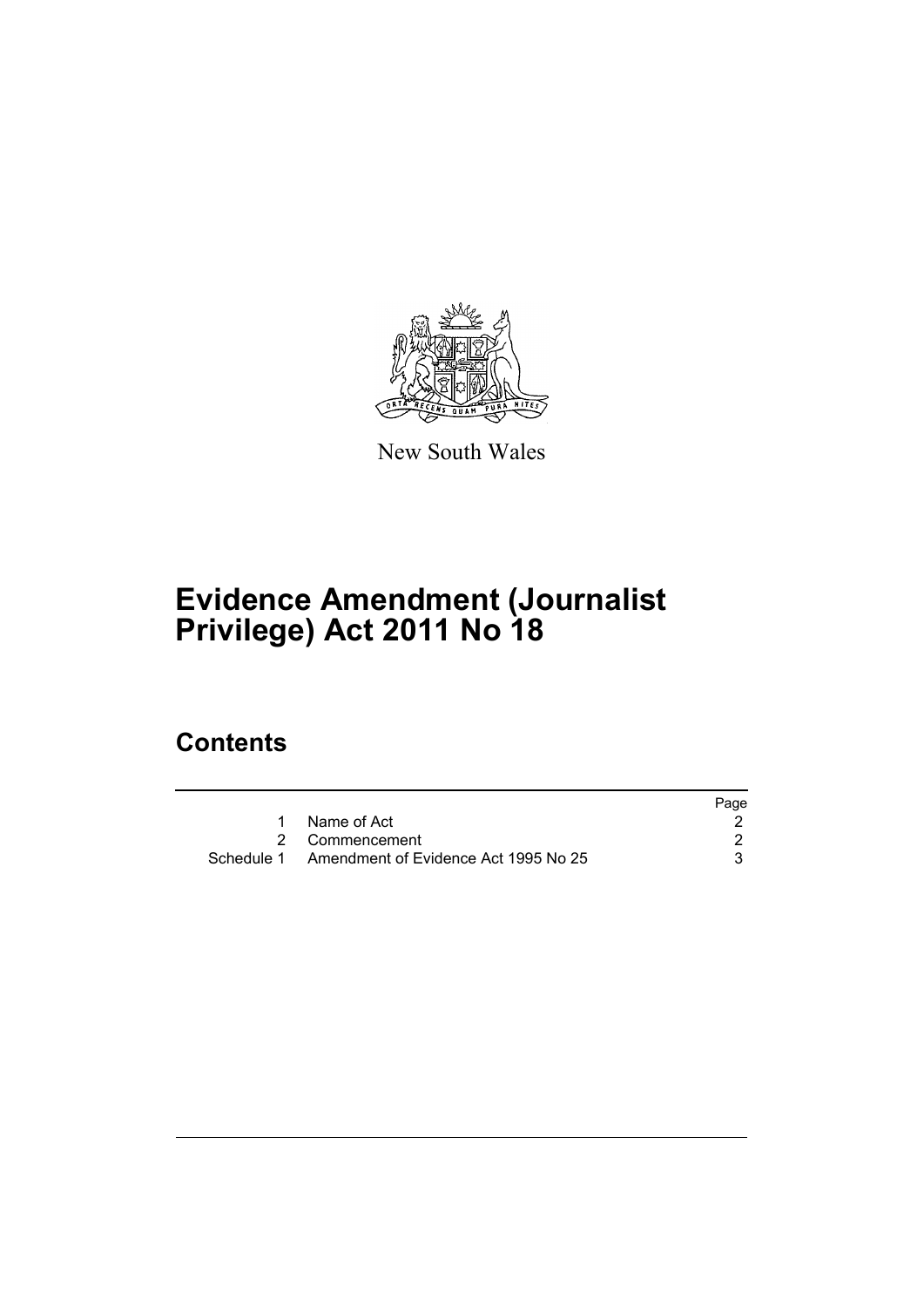

New South Wales

# **Evidence Amendment (Journalist Privilege) Act 2011 No 18**

## **Contents**

|                                                 | Page |
|-------------------------------------------------|------|
| Name of Act                                     |      |
| 2 Commencement                                  |      |
| Schedule 1 Amendment of Evidence Act 1995 No 25 |      |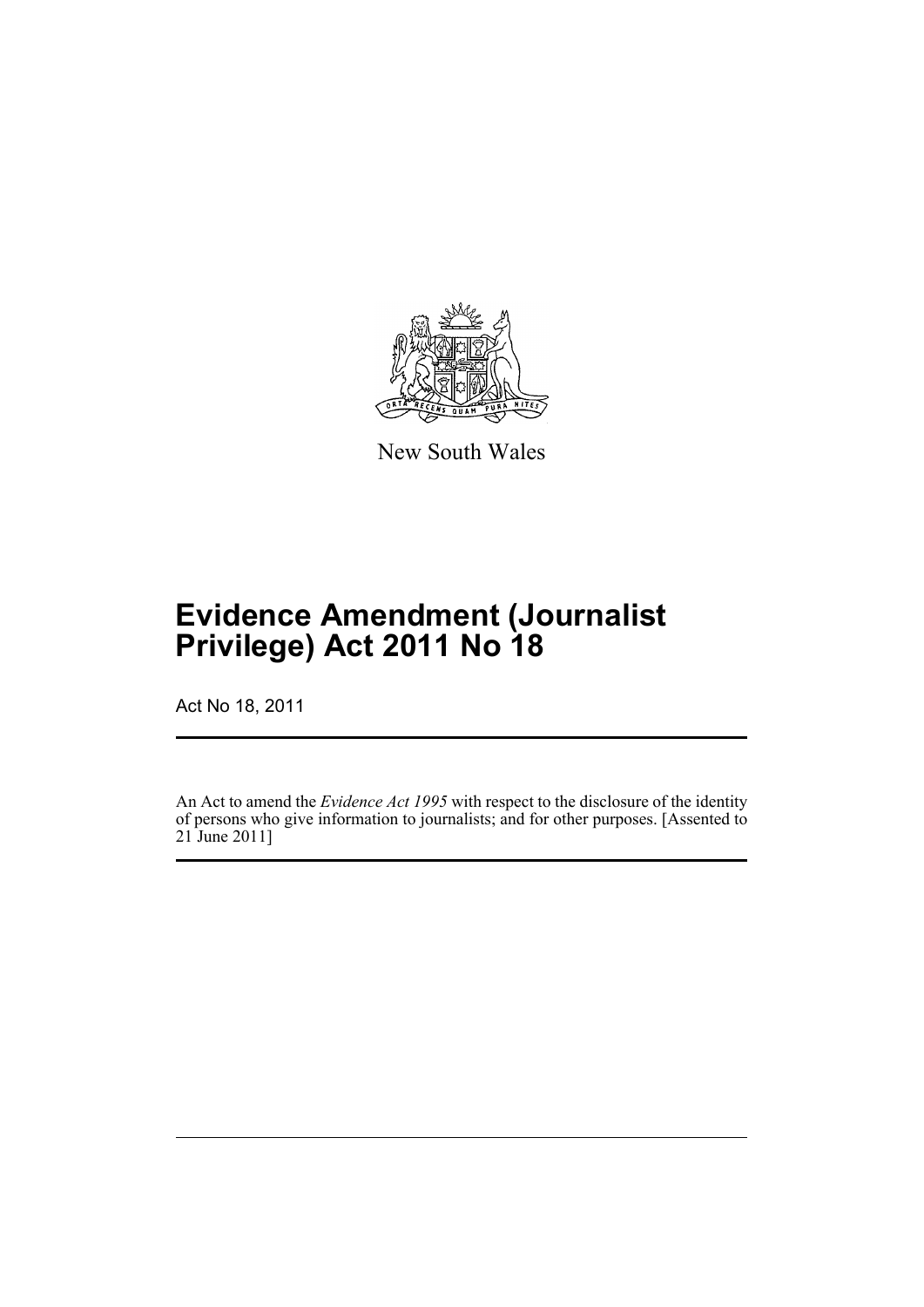

New South Wales

# **Evidence Amendment (Journalist Privilege) Act 2011 No 18**

Act No 18, 2011

An Act to amend the *Evidence Act 1995* with respect to the disclosure of the identity of persons who give information to journalists; and for other purposes. [Assented to 21 June 2011]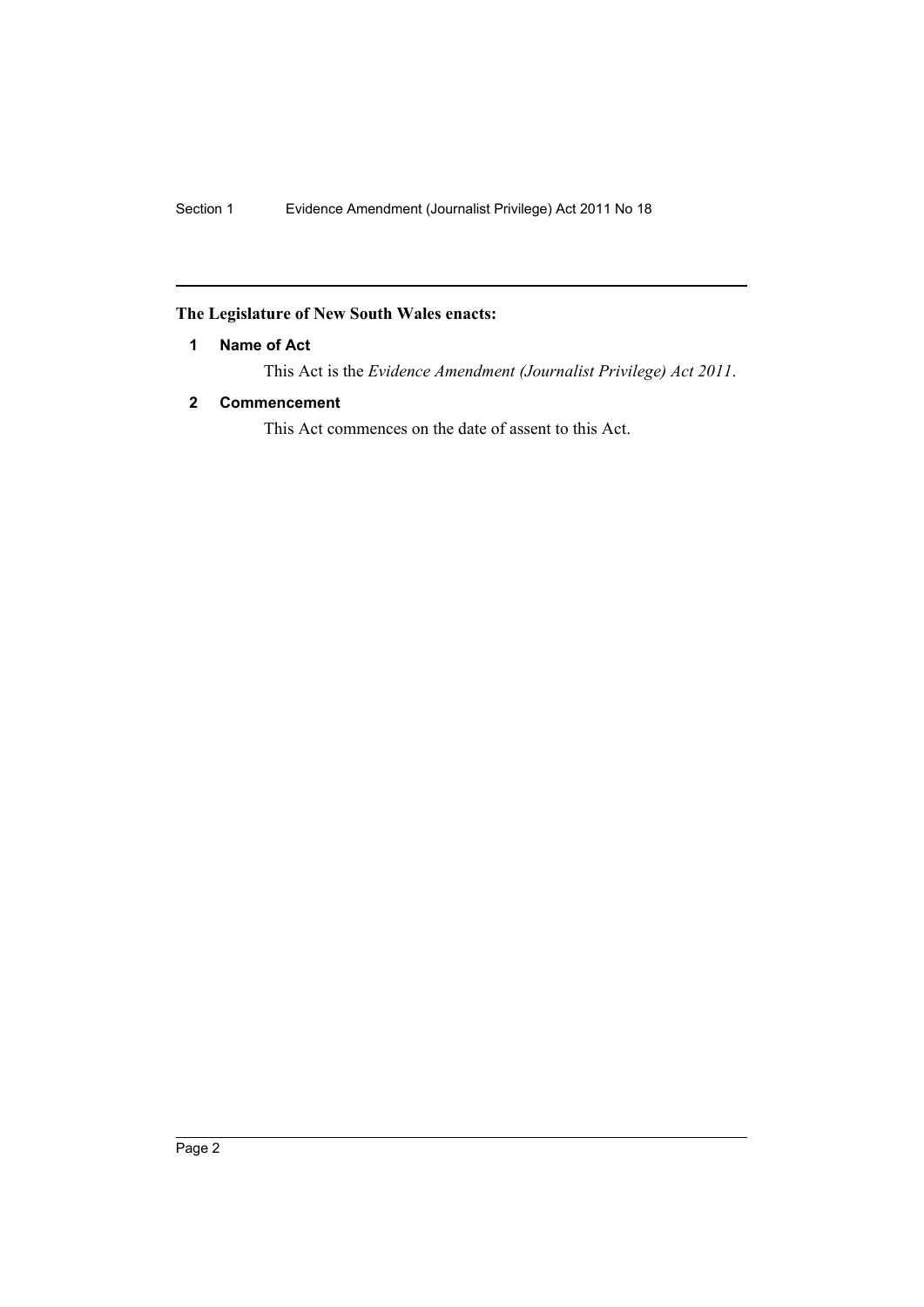### <span id="page-2-0"></span>**The Legislature of New South Wales enacts:**

#### **1 Name of Act**

This Act is the *Evidence Amendment (Journalist Privilege) Act 2011*.

#### <span id="page-2-1"></span>**2 Commencement**

This Act commences on the date of assent to this Act.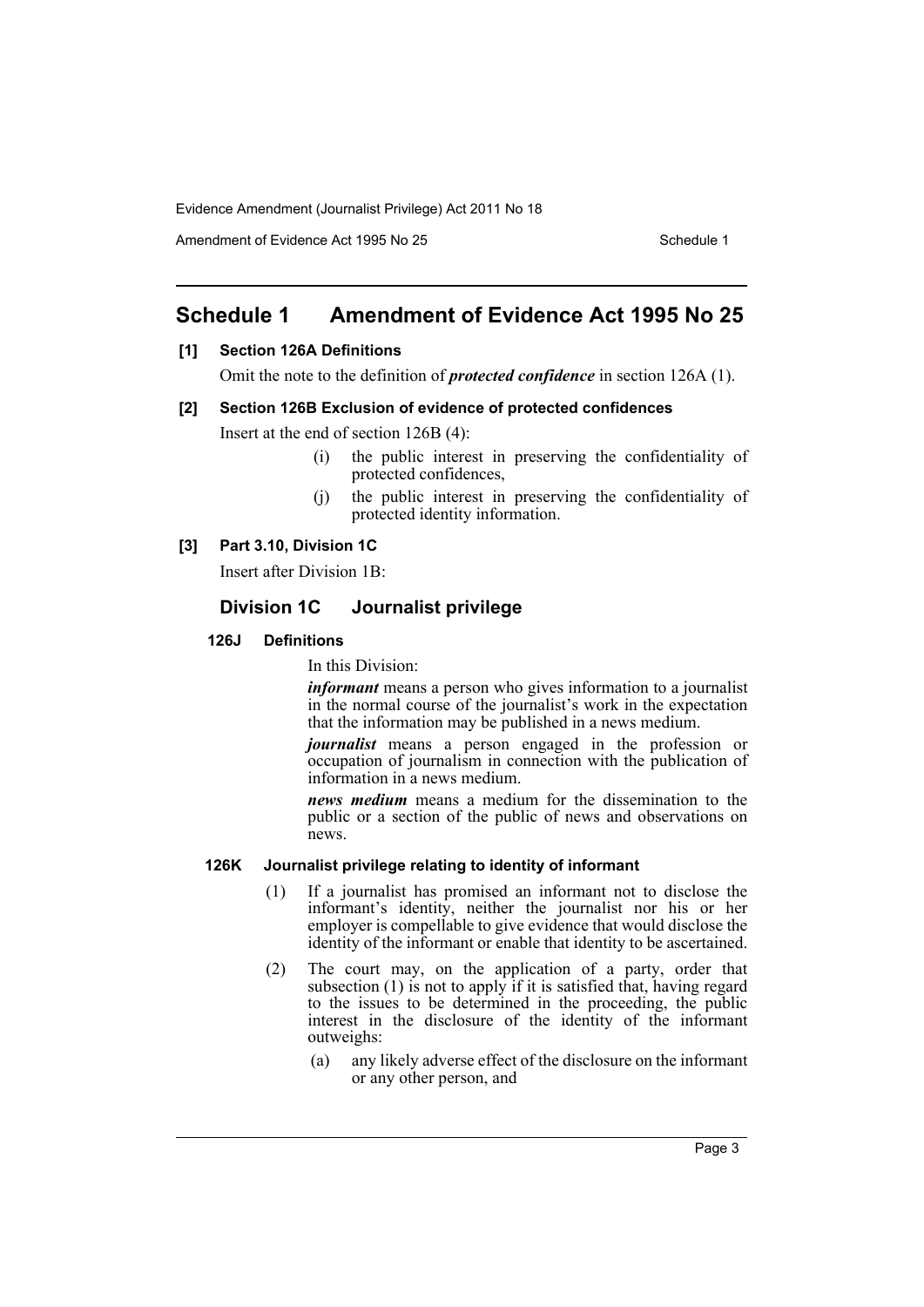Evidence Amendment (Journalist Privilege) Act 2011 No 18

Amendment of Evidence Act 1995 No 25 Schedule 1

## <span id="page-3-0"></span>**Schedule 1 Amendment of Evidence Act 1995 No 25**

#### **[1] Section 126A Definitions**

Omit the note to the definition of *protected confidence* in section 126A (1).

#### **[2] Section 126B Exclusion of evidence of protected confidences**

Insert at the end of section 126B (4):

- (i) the public interest in preserving the confidentiality of protected confidences,
- (j) the public interest in preserving the confidentiality of protected identity information.

#### **[3] Part 3.10, Division 1C**

Insert after Division 1B:

#### **Division 1C Journalist privilege**

#### **126J Definitions**

In this Division:

*informant* means a person who gives information to a journalist in the normal course of the journalist's work in the expectation that the information may be published in a news medium.

*journalist* means a person engaged in the profession or occupation of journalism in connection with the publication of information in a news medium.

*news medium* means a medium for the dissemination to the public or a section of the public of news and observations on news.

#### **126K Journalist privilege relating to identity of informant**

- (1) If a journalist has promised an informant not to disclose the informant's identity, neither the journalist nor his or her employer is compellable to give evidence that would disclose the identity of the informant or enable that identity to be ascertained.
- (2) The court may, on the application of a party, order that subsection  $(1)$  is not to apply if it is satisfied that, having regard to the issues to be determined in the proceeding, the public interest in the disclosure of the identity of the informant outweighs:
	- (a) any likely adverse effect of the disclosure on the informant or any other person, and